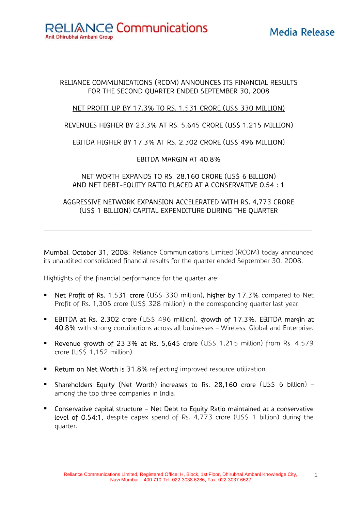**RELIANCE Communications** Anil Dhirubhai Ambani Group

# Media Release

#### RELIANCE COMMUNICATIONS (RCOM) ANNOUNCES ITS FINANCIAL RESULTS FOR THE SECOND QUARTER ENDED SEPTEMBER 30, 2008

## NET PROFIT UP BY 17.3% TO RS. 1,531 CRORE (US\$ 330 MILLION)

#### REVENUES HIGHER BY 23.3% AT RS. 5,645 CRORE (US\$ 1,215 MILLION)

## EBITDA HIGHER BY 17.3% AT RS. 2,302 CRORE (US\$ 496 MILLION)

#### EBITDA MARGIN AT 40.8%

## NET WORTH EXPANDS TO RS. 28,160 CRORE (US\$ 6 BILLION) AND NET DEBT-EQUITY RATIO PLACED AT A CONSERVATIVE 0.54 : 1

## AGGRESSIVE NETWORK EXPANSION ACCELERATED WITH RS. 4,773 CRORE (US\$ 1 BILLION) CAPITAL EXPENDITURE DURING THE QUARTER

 $\mathcal{L}_\mathcal{L} = \{ \mathcal{L}_\mathcal{L} = \{ \mathcal{L}_\mathcal{L} = \{ \mathcal{L}_\mathcal{L} = \{ \mathcal{L}_\mathcal{L} = \{ \mathcal{L}_\mathcal{L} = \{ \mathcal{L}_\mathcal{L} = \{ \mathcal{L}_\mathcal{L} = \{ \mathcal{L}_\mathcal{L} = \{ \mathcal{L}_\mathcal{L} = \{ \mathcal{L}_\mathcal{L} = \{ \mathcal{L}_\mathcal{L} = \{ \mathcal{L}_\mathcal{L} = \{ \mathcal{L}_\mathcal{L} = \{ \mathcal{L}_\mathcal{$ 

Mumbai, October 31, 2008: Reliance Communications Limited (RCOM) today announced its unaudited consolidated financial results for the quarter ended September 30, 2008.

Highlights of the financial performance for the quarter are:

- Net Profit of Rs. 1,531 crore (US\$ 330 million), higher by 17.3% compared to Net Profit of Rs. 1,305 crore (US\$ 328 million) in the corresponding quarter last year.
- **EBITDA at Rs. 2,302 crore (US\$ 496 million), growth of 17.3%. EBITDA margin at** 40.8% with strong contributions across all businesses – Wireless, Global and Enterprise.
- **Revenue growth of 23.3% at Rs. 5,645 crore** (US\$ 1,215 million) from Rs. 4,579 crore (US\$ 1,152 million).
- **Return on Net Worth is 31.8%** reflecting improved resource utilization.
- **Shareholders Equity (Net Worth) increases to Rs. 28,160 crore (US\$ 6 billion)** among the top three companies in India.
- Conservative capital structure Net Debt to Equity Ratio maintained at a conservative level of 0.54:1, despite capex spend of Rs. 4,773 crore (US\$ 1 billion) during the quarter.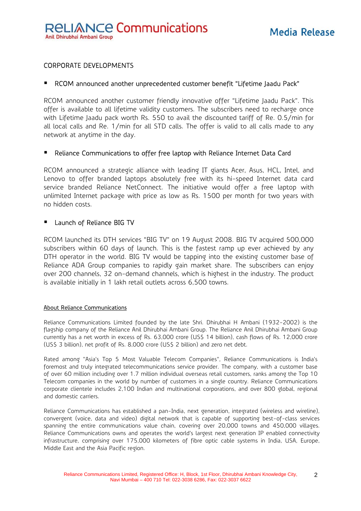#### CORPORATE DEVELOPMENTS

#### RCOM announced another unprecedented customer benefit "Lifetime Jaadu Pack"

RCOM announced another customer friendly innovative offer "Lifetime Jaadu Pack". This offer is available to all lifetime validity customers. The subscribers need to recharge once with Lifetime Jaadu pack worth Rs. 550 to avail the discounted tariff of Re. 0.5/min for all local calls and Re. 1/min for all STD calls. The offer is valid to all calls made to any network at anytime in the day.

#### Reliance Communications to offer free laptop with Reliance Internet Data Card

RCOM announced a strategic alliance with leading IT giants Acer, Asus, HCL, Intel, and Lenovo to offer branded laptops absolutely free with its hi-speed Internet data card service branded Reliance NetConnect. The initiative would offer a free laptop with unlimited Internet package with price as low as Rs. 1500 per month for two years with no hidden costs.

#### Launch of Reliance BIG TV

RCOM launched its DTH services "BIG TV" on 19 August 2008. BIG TV acquired 500,000 subscribers within 60 days of launch. This is the fastest ramp up ever achieved by any DTH operator in the world. BIG TV would be tapping into the existing customer base of Reliance ADA Group companies to rapidly gain market share. The subscribers can enjoy over 200 channels, 32 on-demand channels, which is highest in the industry. The product is available initially in 1 lakh retail outlets across 6,500 towns.

#### About Reliance Communications

Reliance Communications Limited founded by the late Shri. Dhirubhai H Ambani (1932-2002) is the flagship company of the Reliance Anil Dhirubhai Ambani Group. The Reliance Anil Dhirubhai Ambani Group currently has a net worth in excess of Rs. 63,000 crore (US\$ 14 billion), cash flows of Rs. 12,000 crore (US\$ 3 billion), net profit of Rs. 8,000 crore (US\$ 2 billion) and zero net debt.

Rated among "Asia's Top 5 Most Valuable Telecom Companies", Reliance Communications is India's foremost and truly integrated telecommunications service provider. The company, with a customer base of over 60 million including over 1.7 million individual overseas retail customers, ranks among the Top 10 Telecom companies in the world by number of customers in a single country. Reliance Communications corporate clientele includes 2,100 Indian and multinational corporations, and over 800 global, regional and domestic carriers.

Reliance Communications has established a pan-India, next generation, integrated (wireless and wireline), convergent (voice, data and video) digital network that is capable of supporting best-of-class services spanning the entire communications value chain, covering over 20,000 towns and 450,000 villages. Reliance Communications owns and operates the world's largest next generation IP enabled connectivity infrastructure, comprising over 175,000 kilometers of fibre optic cable systems in India, USA, Europe, Middle East and the Asia Pacific region.